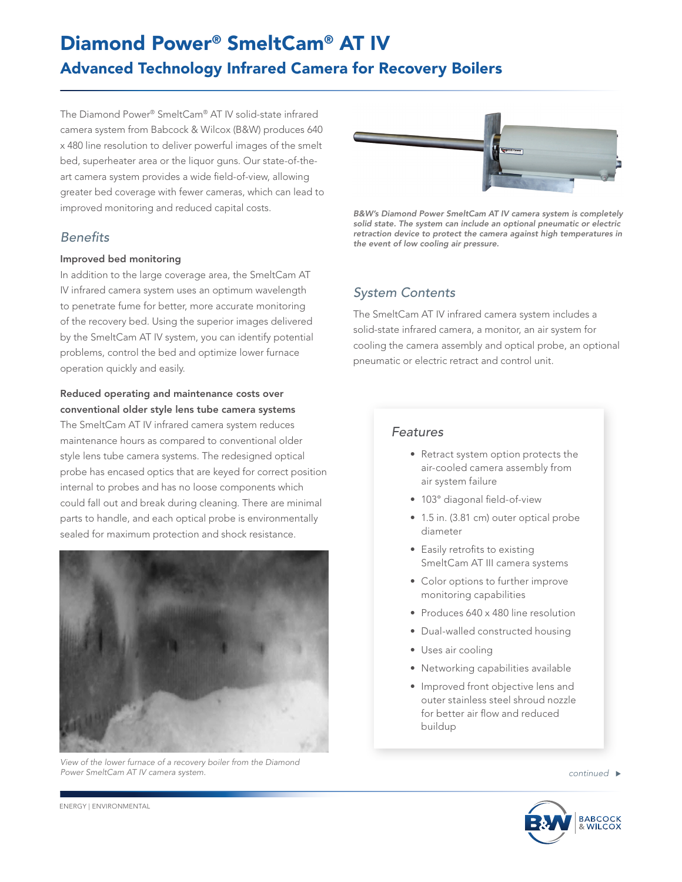# Diamond Power® SmeltCam® AT IV Advanced Technology Infrared Camera for Recovery Boilers

The Diamond Power® SmeltCam® AT IV solid-state infrared camera system from Babcock & Wilcox (B&W) produces 640 x 480 line resolution to deliver powerful images of the smelt bed, superheater area or the liquor guns. Our state-of-theart camera system provides a wide field-of-view, allowing greater bed coverage with fewer cameras, which can lead to improved monitoring and reduced capital costs.

# *Benefits*

#### Improved bed monitoring

In addition to the large coverage area, the SmeltCam AT IV infrared camera system uses an optimum wavelength to penetrate fume for better, more accurate monitoring of the recovery bed. Using the superior images delivered by the SmeltCam AT IV system, you can identify potential problems, control the bed and optimize lower furnace operation quickly and easily.

### Reduced operating and maintenance costs over conventional older style lens tube camera systems

The SmeltCam AT IV infrared camera system reduces maintenance hours as compared to conventional older style lens tube camera systems. The redesigned optical probe has encased optics that are keyed for correct position internal to probes and has no loose components which could fall out and break during cleaning. There are minimal parts to handle, and each optical probe is environmentally sealed for maximum protection and shock resistance.



*View of the lower furnace of a recovery boiler from the Diamond Power SmeltCam AT IV camera system.*



*B&W's Diamond Power SmeltCam AT IV camera system is completely solid state. The system can include an optional pneumatic or electric retraction device to protect the camera against high temperatures in the event of low cooling air pressure.*

# *System Contents*

The SmeltCam AT IV infrared camera system includes a solid-state infrared camera, a monitor, an air system for cooling the camera assembly and optical probe, an optional pneumatic or electric retract and control unit.

## *Features*

- Retract system option protects the air-cooled camera assembly from air system failure
- 103° diagonal field-of-view
- 1.5 in. (3.81 cm) outer optical probe diameter
- Easily retrofits to existing SmeltCam AT III camera systems
- Color options to further improve monitoring capabilities
- Produces 640 x 480 line resolution
- Dual-walled constructed housing
- Uses air cooling
- Networking capabilities available
- Improved front objective lens and outer stainless steel shroud nozzle for better air flow and reduced buildup



ENERGY | ENVIRONMENTAL